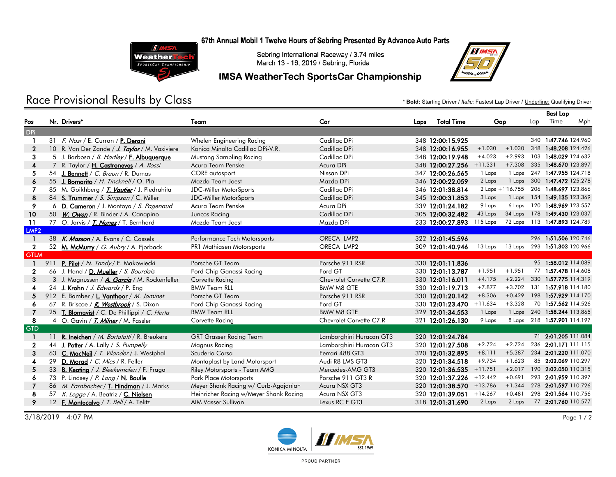67th Annual Mobil 1 Twelve Hours of Sebring Presented By Advance Auto Parts



Sebring International Raceway / 3.74 miles March 13 - 16, 2019 / Sebring, Florida

### IMSA WeatherTech SportsCar Championship



## Race Provisional Results by Class **the Class in the computational and the Class** and the starting Driver / *Italic: Fastest Lap Driver* / <u>Underline:</u> Qualifying Driver / *Italic: Fastest Lap Driver / <u>Underline:</u> Qualifyi*

|                  |    |                                                    |                                        |                         |      |                                                        |           |                  | <b>Best Lap</b> |                              |     |
|------------------|----|----------------------------------------------------|----------------------------------------|-------------------------|------|--------------------------------------------------------|-----------|------------------|-----------------|------------------------------|-----|
| Pos              |    | Nr. Drivers*                                       | Team                                   | Car                     | Laps | <b>Total Time</b>                                      | Gap       |                  | Lap             | Time                         | Mph |
| <b>DPi</b>       |    |                                                    |                                        |                         |      |                                                        |           |                  |                 |                              |     |
| $\mathbf{1}$     |    | 31 F. Nasr / E. Curran / P. Derani                 | Whelen Engineering Racing              | Cadillac DPi            |      | 348 12:00:15.925                                       |           |                  |                 | 340 1:47.746 124.960         |     |
| $\mathbf{2}$     |    | 10 R. Van Der Zande / J. Taylor / M. Vaxiviere     | Konica Minolta Cadillac DPi-V.R.       | Cadillac DPi            |      | 348 12:00:16.955                                       | $+1.030$  | $+1.030$         |                 | 348 1:48.208 124.426         |     |
| 3                |    | 5 J. Barbosa / B. Hartley / F. Albuquerque         | Mustang Sampling Racing                | Cadillac DPi            |      | 348 12:00:19.948                                       | $+4.023$  | $+2.993$         |                 | 103 1:48.029 124.632         |     |
| 4                |    | 7 R. Taylor / H. Castroneves / A. Rossi            | Acura Team Penske                      | Acura DPi               |      | 348 12:00:27.256                                       | $+11.331$ | $+7.308$         |                 | 335 1:48.670 123.897         |     |
| 5                |    | 54 J. Bennett / C. Braun / R. Dumas                | CORE autosport                         | Nissan DPi              |      | 347 12:00:26.565                                       | 1 Laps    | 1 Laps           |                 | 247 1:47.955 124.718         |     |
| 6                | 55 | J. Bomarito / H. Tincknell / O. Pla                | Mazda Team Joest                       | Mazda DPi               |      | 346 12:00:22.059                                       | 2 Laps    |                  |                 | 1 Laps 300 1:47.472 125.278  |     |
|                  |    | 85 M. Goikhberg / T. Vautier / J. Piedrahita       | JDC-Miller MotorSports                 | Cadillac DPi            |      | 346 12:01:38.814                                       |           | 2 Laps +1'16.755 |                 | 206 1:48.697 123.866         |     |
| 8                |    | 84 S. Trummer / S. Simpson / C. Miller             | <b>JDC-Miller MotorSports</b>          | Cadillac DPi            |      | 345 12:00:31.853                                       | 3 Laps    | 1 Laps           |                 | 154 1:49.135 123.369         |     |
| 9                | 6  | D. Cameron / J. Montoya / S. Pagenaud              | Acura Team Penske                      | Acura DPi               |      | 339 12:01:24.182                                       | 9 Laps    |                  |                 | 6 Laps 120 1:48.969 123.557  |     |
| 10               |    | 50 W. Owen / R. Binder / A. Canapino               | Juncos Racing                          | Cadillac DPi            |      | 305 12:00:32.482                                       | 43 Laps   |                  |                 | 34 Laps 178 1:49.430 123.037 |     |
| 11               |    | 77 O. Jarvis / T. Nunez / T. Bernhard              | Mazda Team Joest                       | Mazda DPi               |      | 233 12:00:27.893 115 Laps 72 Laps 113 1:47.893 124.789 |           |                  |                 |                              |     |
| LMP <sub>2</sub> |    |                                                    |                                        |                         |      |                                                        |           |                  |                 |                              |     |
|                  |    | 38 K. Masson / A. Evans / C. Cassels               | Performance Tech Motorsports           | ORECA LMP2              |      | 322 12:01:45.596                                       |           |                  |                 | 296 1:51.506 120.746         |     |
| $\mathbf{2}$     |    | 52 M. McMurry / G. Aubry / A. Fjorback             | PR1 Mathiasen Motorsports              | ORECA LMP2              |      | 309 12:01:40.946                                       | 13 Laps   |                  |                 | 13 Laps 293 1:51.303 120.966 |     |
| <b>GTLM</b>      |    |                                                    |                                        |                         |      |                                                        |           |                  |                 |                              |     |
|                  |    | 911 P. Pilet / N. Tandy / F. Makowiecki            | Porsche GT Team                        | Porsche 911 RSR         |      | 330 12:01:11.836                                       |           |                  |                 | 95 1:58.012 114.089          |     |
| $\mathbf{2}$     |    | 66 J. Hand / D. Mueller / S. Bourdais              | Ford Chip Ganassi Racing               | Ford GT                 |      | 330 12:01:13.787                                       | $+1.951$  | $+1.951$         |                 | 77 1:57.478 114.608          |     |
| 3                |    | 3 J. Magnussen / A. Garcia / M. Rockenfeller       | Corvette Racing                        | Chevrolet Corvette C7.R |      | 330 12:01:16.011                                       | $+4.175$  | $+2.224$         |                 | 330 1:57.775 114.319         |     |
| 4                |    | 24 J. Krohn / J. Edwards / P. Eng                  | <b>BMW Team RLL</b>                    | <b>BMW M8 GTE</b>       |      | 330 12:01:19.713                                       | $+7.877$  | $+3.702$         | 131             | 1:57.918 114.180             |     |
| 5                |    | 912 E. Bamber / L. Vanthoor / M. Jaminet           | Porsche GT Team                        | Porsche 911 RSR         |      | 330 12:01:20.142                                       | $+8.306$  | $+0.429$         |                 | 198 1:57.929 114.170         |     |
| 6                | 67 | R. Briscoe / <b><i>R. Westbrook</i></b> / S. Dixon | Ford Chip Ganassi Racing               | Ford GT                 |      | 330 12:01:23.470                                       | $+11.634$ | $+3.328$         |                 | 70 1:57.562 114.526          |     |
| 7                | 25 | <b>T. Blomqvist</b> / C. De Phillippi / C. Herta   | <b>BMW Team RLL</b>                    | <b>BMW M8 GTE</b>       |      | 329 12:01:34.553                                       | 1 Laps    | 1 Laps           |                 | 240 1:58.244 113.865         |     |
| 8                |    | 4 O. Gavin / T. Milner / M. Fassler                | Corvette Racing                        | Chevrolet Corvette C7.R |      | 321 12:01:26.130                                       | 9 Laps    |                  |                 | 8 Laps 218 1:57.901 114.197  |     |
| <b>GTD</b>       |    |                                                    |                                        |                         |      |                                                        |           |                  |                 |                              |     |
|                  | 11 | R. Ineichen / M. Bortolotti / R. Breukers          | <b>GRT Grasser Racing Team</b>         | Lamborghini Huracan GT3 |      | 320 12:01:24.784                                       |           |                  |                 | 71 2:01.205 111.084          |     |
| $\mathbf{2}$     | 44 | J. Potter / A. Lally / S. Pumpelly                 | Magnus Racing                          | Lamborghini Huracan GT3 |      | 320 12:01:27.508                                       | $+2.724$  | $+2.724$         |                 | 236 2:01.171 111.115         |     |
| 3                |    | 63 C. MacNeil / T. Vilander / J. Westphal          | Scuderia Corsa                         | Ferrari 488 GT3         |      | 320 12:01:32.895                                       | $+8.111$  | $+5.387$         |                 | 234 2:01.220 111.070         |     |
| 4                | 29 | D. Morad / C. Mies / R. Feller                     | Montaplast by Land Motorsport          | Audi R8 LMS GT3         |      | 320 12:01:34.518                                       | $+9.734$  | $+1.623$         |                 | 85 2:02.069 110.297          |     |
| 5                |    | 33 B. Keating / J. Bleekemolen / F. Fraga          | Riley Motorsports - Team AMG           | Mercedes-AMG GT3        |      | 320 12:01:36.535 +11.751                               |           | $+2.017$         |                 | 190 2:02.050 110.315         |     |
| 6                | 73 | P. Lindsey / P. Long / N. Boulle                   | Park Place Motorsports                 | Porsche 911 GT3 R       |      | 320 12:01:37.226                                       | $+12.442$ | $+0.691$         |                 | 293 2:01.959 110.397         |     |
| 7                |    | 86 M. Farnbacher / T. Hindman / J. Marks           | Meyer Shank Racing w/ Curb-Agajanian   | Acura NSX GT3           |      | 320 12:01:38.570 +13.786                               |           | $+1.344$         |                 | 278 2:01.597 110.726         |     |
| 8                |    | 57 K. Legge / A. Beatriz / C. Nielsen              | Heinricher Racing w/Meyer Shank Racing | Acura NSX GT3           |      | 320 12:01:39.051                                       | $+14.267$ | $+0.481$         |                 | 298 2:01.564 110.756         |     |
| 9                |    | 12 F. Montecalvo / T. Bell / A. Telitz             | AIM Vasser Sullivan                    | Lexus RC F GT3          |      | 318 12:01:31.690                                       | 2 Laps    | 2 Laps           |                 | 77 2:01.760 110.577          |     |
|                  |    |                                                    |                                        |                         |      |                                                        |           |                  |                 |                              |     |

3/18/2019 4:07 PM Page 1 / 2



PROUD PARTNER